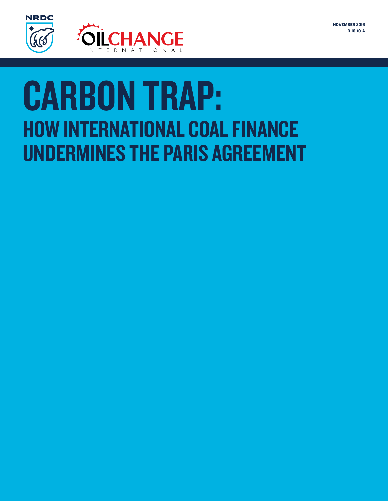

# **CARBON TRAP: HOW INTERNATIONAL COAL FINANCE UNDERMINES THE PARIS AGREEMENT**

- 
- 
- 
- 
- 
- 
- - -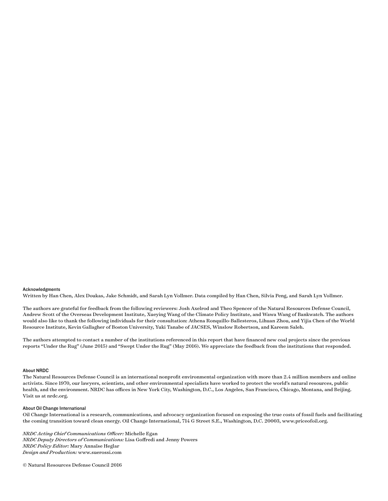#### Acknowledgments

Written by Han Chen, Alex Doukas, Jake Schmidt, and Sarah Lyn Vollmer. Data compiled by Han Chen, Silvia Peng, and Sarah Lyn Vollmer.

The authors are grateful for feedback from the following reviewers: Josh Axelrod and Theo Spencer of the Natural Resources Defense Council, Andrew Scott of the Overseas Development Institute, Xueying Wang of the Climate Policy Institute, and Wawa Wang of Bankwatch. The authors would also like to thank the following individuals for their consultation: Athena Ronquillo-Ballesteros, Lihuan Zhou, and Yijia Chen of the World Resource Institute, Kevin Gallagher of Boston University, Yuki Tanabe of JACSES, Winslow Robertson, and Kareem Saleh.

The authors attempted to contact a number of the institutions referenced in this report that have financed new coal projects since the previous reports "Under the Rug" (June 2015) and "Swept Under the Rug" (May 2016). We appreciate the feedback from the institutions that responded.

#### About NRDC

The Natural Resources Defense Council is an international nonprofit environmental organization with more than 2.4 million members and online activists. Since 1970, our lawyers, scientists, and other environmental specialists have worked to protect the world's natural resources, public health, and the environment. NRDC has offices in New York City, Washington, D.C., Los Angeles, San Francisco, Chicago, Montana, and Beijing. Visit us at nrdc.org.

#### About Oil Change International

Oil Change International is a research, communications, and advocacy organization focused on exposing the true costs of fossil fuels and facilitating the coming transition toward clean energy. Oil Change International, 714 G Street S.E., Washington, D.C. 20003, www.priceofoil.org.

*NRDC Acting Chief Communications Officer:* Michelle Egan *NRDC Deputy Directors of Communications:* Lisa Goffredi and Jenny Powers *NRDC Policy Editor:* Mary Annaïse Heglar *Design and Production:* www.suerossi.com

© Natural Resources Defense Council 2016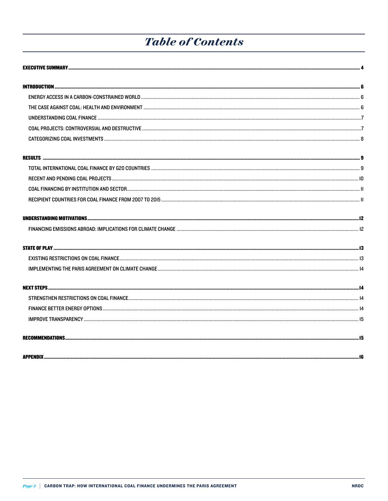# **Table of Contents**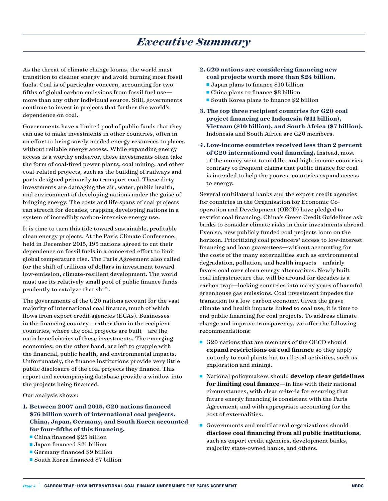# *Executive Summary*

As the threat of climate change looms, the world must transition to cleaner energy and avoid burning most fossil fuels. Coal is of particular concern, accounting for twofifths of global carbon emissions from fossil fuel use more than any other individual source. Still, governments continue to invest in projects that further the world's dependence on coal.

Governments have a limited pool of public funds that they can use to make investments in other countries, often in an effort to bring sorely needed energy resources to places without reliable energy access. While expanding energy access is a worthy endeavor, these investments often take the form of coal-fired power plants, coal mining, and other coal-related projects, such as the building of railways and ports designed primarily to transport coal. These dirty investments are damaging the air, water, public health, and environment of developing nations under the guise of bringing energy. The costs and life spans of coal projects can stretch for decades, trapping developing nations in a system of incredibly carbon-intensive energy use.

It is time to turn this tide toward sustainable, profitable clean energy projects. At the Paris Climate Conference, held in December 2015, 195 nations agreed to cut their dependence on fossil fuels in a concerted effort to limit global temperature rise. The Paris Agreement also called for the shift of trillions of dollars in investment toward low-emission, climate-resilient development. The world must use its relatively small pool of public finance funds prudently to catalyze that shift.

The governments of the G20 nations account for the vast majority of international coal finance, much of which flows from export credit agencies (ECAs). Businesses in the financing country—rather than in the recipient countries, where the coal projects are built—are the main beneficiaries of these investments. The emerging economies, on the other hand, are left to grapple with the financial, public health, and environmental impacts. Unfortunately, the finance institutions provide very little public disclosure of the coal projects they finance. This report and accompanying database provide a window into the projects being financed.

Our analysis shows:

- **1. Between 2007 and 2015, G20 nations financed \$76 billion worth of international coal projects. China, Japan, Germany, and South Korea accounted for four-fifths of this financing.** 
	- $\blacksquare$  China financed \$25 billion
	- **Japan financed \$21 billion**
	- Germany financed  $$9$  billion
	- $\blacksquare$  South Korea financed \$7 billion

#### **2. G20 nations are considering financing new coal projects worth more than \$24 billion.**

- $\blacksquare$  Japan plans to finance \$10 billion
- $\blacksquare$  China plans to finance \$8 billion
- South Korea plans to finance  $$2$  billion
- **3. The top three recipient countries for G20 coal project financing are Indonesia (\$11 billion), Vietnam (\$10 billion), and South Africa (\$7 billion).**  Indonesia and South Africa are G20 members.
- **4. Low-income countries received less than 2 percent of G20 international coal financing.** Instead, most of the money went to middle- and high-income countries, contrary to frequent claims that public finance for coal is intended to help the poorest countries expand access to energy.

Several multilateral banks and the export credit agencies for countries in the Organisation for Economic Cooperation and Development (OECD) have pledged to restrict coal financing. China's Green Credit Guidelines ask banks to consider climate risks in their investments abroad. Even so, new publicly funded coal projects loom on the horizon. Prioritizing coal producers' access to low-interest financing and loan guarantees—without accounting for the costs of the many externalities such as environmental degradation, pollution, and health impacts—unfairly favors coal over clean energy alternatives. Newly built coal infrastructure that will be around for decades is a carbon trap—locking countries into many years of harmful greenhouse gas emissions. Coal investment impedes the transition to a low-carbon economy. Given the grave climate and health impacts linked to coal use, it is time to end public financing for coal projects. To address climate change and improve transparency, we offer the following recommendations:

- $\blacksquare$  G20 nations that are members of the OECD should **expand restrictions on coal finance** so they apply not only to coal plants but to all coal activities, such as exploration and mining.
- National policymakers should **develop clear guidelines for limiting coal finance**—in line with their national circumstances, with clear criteria for ensuring that future energy financing is consistent with the Paris Agreement, and with appropriate accounting for the cost of externalities.
- Governments and multilateral organizations should **disclose coal financing from all public institutions**, such as export credit agencies, development banks, majority state-owned banks, and others.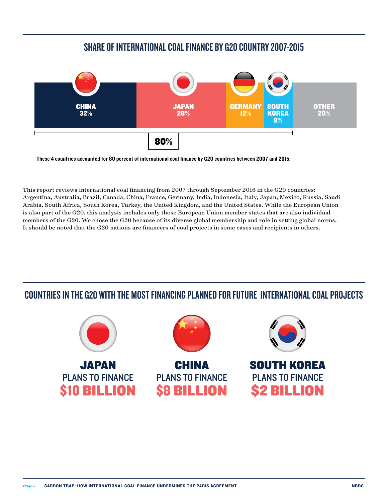## SHARE OF INTERNATIONAL COAL FINANCE BY G20 COUNTRY 2007-2015



These 4 countries accounted for 80 percent of international coal finance by G20 countries between 2007 and 2015.

This report reviews international coal financing from 2007 through September 2016 in the G20 countries: Argentina, Australia, Brazil, Canada, China, France, Germany, India, Indonesia, Italy, Japan, Mexico, Russia, Saudi Arabia, South Africa, South Korea, Turkey, the United Kingdom, and the United States. While the European Union is also part of the G20, this analysis includes only those European Union member states that are also individual members of the G20. We chose the G20 because of its diverse global membership and role in setting global norms. It should be noted that the G20 nations are financers of coal projects in some cases and recipients in others.

## COUNTRIES IN THE G20 WITH THE MOST FINANCING PLANNED FOR FUTURE INTERNATIONAL COAL PROJECTS

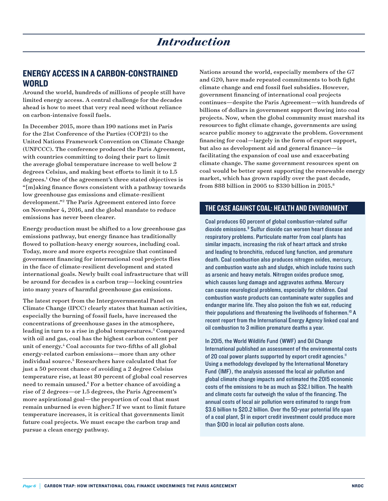#### ENERGY ACCESS IN A CARBON-CONSTRAINED **WORLD**

Around the world, hundreds of millions of people still have limited energy access. A central challenge for the decades ahead is how to meet that very real need without reliance on carbon-intensive fossil fuels.

In December 2015, more than 190 nations met in Paris for the 21st Conference of the Parties (COP21) to the United Nations Framework Convention on Climate Change (UNFCCC). The conference produced the Paris Agreement, with countries committing to doing their part to limit the average global temperature increase to well below 2 degrees Celsius, and making best efforts to limit it to 1.5 degrees.<sup>1</sup> One of the agreement's three stated objectives is "[m]aking finance flows consistent with a pathway towards low greenhouse gas emissions and climate-resilient development."2 The Paris Agreement entered into force on November 4, 2016, and the global mandate to reduce emissions has never been clearer.

Energy production must be shifted to a low greenhouse gas emissions pathway, but energy finance has traditionally flowed to pollution-heavy energy sources, including coal. Today, more and more experts recognize that continued government financing for international coal projects flies in the face of climate-resilient development and stated international goals. Newly built coal infrastructure that will be around for decades is a carbon trap—locking countries into many years of harmful greenhouse gas emissions.

The latest report from the Intergovernmental Panel on Climate Change (IPCC) clearly states that human activities, especially the burning of fossil fuels, have increased the concentrations of greenhouse gases in the atmosphere, leading in turn to a rise in global temperatures.<sup>3</sup> Compared with oil and gas, coal has the highest carbon content per unit of energy.4 Coal accounts for two-fifths of all global energy-related carbon emissions—more than any other individual source.5 Researchers have calculated that for just a 50 percent chance of avoiding a 2 degree Celsius temperature rise, at least 80 percent of global coal reserves need to remain unused.<sup>6</sup> For a better chance of avoiding a rise of 2 degrees—or 1.5 degrees, the Paris Agreement's more aspirational goal—the proportion of coal that must remain unburned is even higher.7 If we want to limit future temperature increases, it is critical that governments limit future coal projects. We must escape the carbon trap and pursue a clean energy pathway.

Nations around the world, especially members of the G7 and G20, have made repeated commitments to both fight climate change and end fossil fuel subsidies. However, government financing of international coal projects continues—despite the Paris Agreement—with hundreds of billions of dollars in government support flowing into coal projects. Now, when the global community must marshal its resources to fight climate change, governments are using scarce public money to aggravate the problem. Government financing for coal—largely in the form of export support, but also as development aid and general finance—is facilitating the expansion of coal use and exacerbating climate change. The same government resources spent on coal would be better spent supporting the renewable energy market, which has grown rapidly over the past decade, from \$88 billion in 2005 to \$330 billion in 2015.8

#### THE CASE AGAINST COAL: HEALTH AND ENVIRONMENT

Coal produces 60 percent of global combustion-related sulfur dioxide emissions.<sup>9</sup> Sulfur dioxide can worsen heart disease and respiratory problems. Particulate matter from coal plants has similar impacts, increasing the risk of heart attack and stroke and leading to bronchitis, reduced lung function, and premature death. Coal combustion also produces nitrogen oxides, mercury, and combustion waste ash and sludge, which include toxins such as arsenic and heavy metals. Nitrogen oxides produce smog, which causes lung damage and aggravates asthma. Mercury can cause neurological problems, especially for children. Coal combustion waste products can contaminate water supplies and endanger marine life. They also poison the fish we eat, reducing their populations and threatening the livelihoods of fishermen.<sup>10</sup> A recent report from the International Energy Agency linked coal and oil combustion to 3 million premature deaths a year.

In 2015, the World Wildlife Fund (WWF) and Oil Change International published an assessment of the environmental costs of 20 coal power plants supported by export credit agencies.<sup>11</sup> Using a methodology developed by the International Monetary Fund (IMF), the analysis assessed the local air pollution and global climate change impacts and estimated the 2015 economic costs of the emissions to be as much as \$32.1 billion. The health and climate costs far outweigh the value of the financing. The annual costs of local air pollution were estimated to range from \$3.6 billion to \$20.2 billion. Over the 50-year potential life span of a coal plant, \$1 in export credit investment could produce more than \$100 in local air pollution costs alone.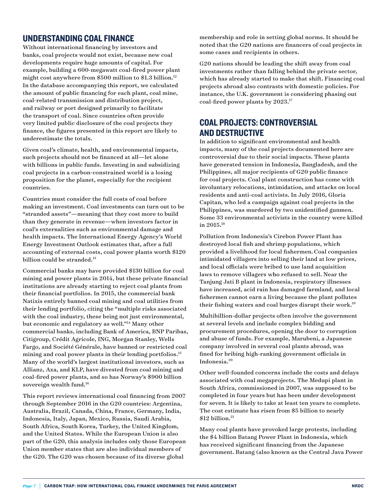## UNDERSTANDING COAL FINANCE

Without international financing by investors and banks, coal projects would not exist, because new coal developments require huge amounts of capital. For example, building a 600-megawatt coal-fired power plant might cost anywhere from \$500 million to \$1.3 billion.<sup>12</sup> In the database accompanying this report, we calculated the amount of public financing for each plant, coal mine, coal-related transmission and distribution project, and railway or port designed primarily to facilitate the transport of coal. Since countries often provide very limited public disclosure of the coal projects they finance, the figures presented in this report are likely to underestimate the totals.

Given coal's climate, health, and environmental impacts, such projects should not be financed at all—let alone with billions in public funds. Investing in and subsidizing coal projects in a carbon-constrained world is a losing proposition for the planet, especially for the recipient countries.

Countries must consider the full costs of coal before making an investment. Coal investments can turn out to be "stranded assets"—meaning that they cost more to build than they generate in revenue—when investors factor in coal's externalities such as environmental damage and health impacts. The International Energy Agency's World Energy Investment Outlook estimates that, after a full accounting of external costs, coal power plants worth \$120 billion could be stranded.<sup>13</sup>

Commercial banks may have provided \$130 billion for coal mining and power plants in 2014, but these private financial institutions are already starting to reject coal plants from their financial portfolios. In 2015, the commercial bank Natixis entirely banned coal mining and coal utilities from their lending portfolio, citing the "multiple risks associated with the coal industry, these being not just environmental, but economic and regulatory as well."14 Many other commercial banks, including Bank of America, BNP Paribas, Citigroup, Crédit Agricole, ING, Morgan Stanley, Wells Fargo, and Société Générale, have banned or restricted coal mining and coal power plants in their lending portfolios.<sup>15</sup> Many of the world's largest institutional investors, such as Allianz, Axa, and KLP, have divested from coal mining and coal-fired power plants, and so has Norway's \$900 billion sovereign wealth fund.<sup>16</sup>

This report reviews international coal financing from 2007 through September 2016 in the G20 countries: Argentina, Australia, Brazil, Canada, China, France, Germany, India, Indonesia, Italy, Japan, Mexico, Russia, Saudi Arabia, South Africa, South Korea, Turkey, the United Kingdom, and the United States. While the European Union is also part of the G20, this analysis includes only those European Union member states that are also individual members of the G20. The G20 was chosen because of its diverse global

membership and role in setting global norms. It should be noted that the G20 nations are financers of coal projects in some cases and recipients in others.

G20 nations should be leading the shift away from coal investments rather than falling behind the private sector, which has already started to make that shift. Financing coal projects abroad also contrasts with domestic policies. For instance, the U.K. government is considering phasing out coal-fired power plants by 2023.17

## COAL PROJECTS: CONTROVERSIAL AND DESTRUCTIVE

In addition to significant environmental and health impacts, many of the coal projects documented here are controversial due to their social impacts. These plants have generated tension in Indonesia, Bangladesh, and the Philippines, all major recipients of G20 public finance for coal projects. Coal plant construction has come with involuntary relocations, intimidation, and attacks on local residents and anti-coal activists. In July 2016, Gloria Capitan, who led a campaign against coal projects in the Philippines, was murdered by two unidentified gunmen. Some 33 environmental activists in the country were killed in 2015.18

Pollution from Indonesia's Cirebon Power Plant has destroyed local fish and shrimp populations, which provided a livelihood for local fishermen.Coal companies intimidated villagers into selling their land at low prices, and local officials were bribed to use land acquisition laws to remove villagers who refused to sell. Near the Tanjung Jati B plant in Indonesia, respiratory illnesses have increased, acid rain has damaged farmland, and local fishermen cannot earn a living because the plant pollutes their fishing waters and coal barges disrupt their work.19

Multibillion-dollar projects often involve the government at several levels and include complex bidding and procurement procedures, opening the door to corruption and abuse of funds. For example, Marubeni, a Japanese company involved in several coal plants abroad, was fined for bribing high-ranking government officials in Indonesia.20

Other well-founded concerns include the costs and delays associated with coal megaprojects. The Medupi plant in South Africa, commissioned in 2007, was supposed to be completed in four years but has been under development for seven. It is likely to take at least ten years to complete. The cost estimate has risen from \$5 billion to nearly \$12 billion.<sup>21</sup>

Many coal plants have provoked large protests, including the \$4 billion Batang Power Plant in Indonesia, which has received significant financing from the Japanese government. Batang (also known as the Central Java Power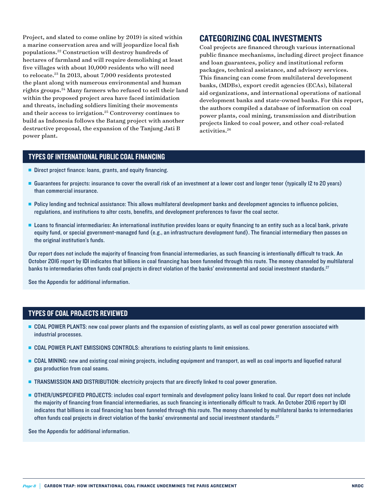Project, and slated to come online by 2019) is sited within a marine conservation area and will jeopardize local fish populations.22 Construction will destroy hundreds of hectares of farmland and will require demolishing at least five villages with about 10,000 residents who will need to relocate.<sup>23</sup> In 2013, about 7,000 residents protested the plant along with numerous environmental and human rights groups.24 Many farmers who refused to sell their land within the proposed project area have faced intimidation and threats, including soldiers limiting their movements and their access to irrigation.25 Controversy continues to build as Indonesia follows the Batang project with another destructive proposal, the expansion of the Tanjung Jati B power plant.

#### CATEGORIZING COAL INVESTMENTS

Coal projects are financed through various international public finance mechanisms, including direct project finance and loan guarantees, policy and institutional reform packages, technical assistance, and advisory services. This financing can come from multilateral development banks, (MDBs), export credit agencies (ECAs), bilateral aid organizations, and international operations of national development banks and state-owned banks. For this report, the authors compiled a database of information on coal power plants, coal mining, transmission and distribution projects linked to coal power, and other coal-related activities.26

#### TYPES OF INTERNATIONAL PUBLIC COAL FINANCING

- Direct project finance: loans, grants, and equity financing.
- <sup>n</sup> Guarantees for projects: insurance to cover the overall risk of an investment at a lower cost and longer tenor (typically 12 to 20 years) than commercial insurance.
- **Policy lending and technical assistance: This allows multilateral development banks and development agencies to influence policies,** regulations, and institutions to alter costs, benefits, and development preferences to favor the coal sector.
- **Leans to financial intermediaries: An international institution provides loans or equity financing to an entity such as a local bank, private** equity fund, or special government-managed fund (e.g., an infrastructure development fund). The financial intermediary then passes on the original institution's funds.

Our report does not include the majority of financing from financial intermediaries, as such financing is intentionally difficult to track. An October 2016 report by IDI indicates that billions in coal financing has been funneled through this route. The money channeled by multilateral banks to intermediaries often funds coal projects in direct violation of the banks' environmental and social investment standards.<sup>27</sup>

See the Appendix for additional information.

#### TYPES OF COAL PROJECTS REVIEWED

- **DEM COAL POWER PLANTS:** new coal power plants and the expansion of existing plants, as well as coal power generation associated with industrial processes.
- <sup>n</sup> COAL POWER PLANT EMISSIONS CONTROLS: alterations to existing plants to limit emissions.
- <sup>n</sup> COAL MINING: new and existing coal mining projects, including equipment and transport, as well as coal imports and liquefied natural gas production from coal seams.
- **TRANSMISSION AND DISTRIBUTION:** electricity projects that are directly linked to coal power generation.
- <sup>n</sup> OTHER/UNSPECIFIED PROJECTS: includes coal export terminals and development policy loans linked to coal. Our report does not include the majority of financing from financial intermediaries, as such financing is intentionally difficult to track. An October 2016 report by IDI indicates that billions in coal financing has been funneled through this route. The money channeled by multilateral banks to intermediaries often funds coal projects in direct violation of the banks' environmental and social investment standards.27

See the Appendix for additional information.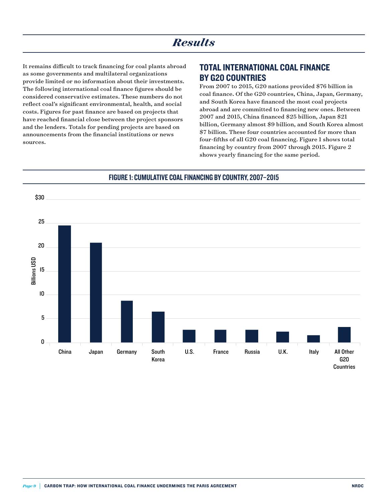It remains difficult to track financing for coal plants abroad as some governments and multilateral organizations provide limited or no information about their investments. The following international coal finance figures should be considered conservative estimates. These numbers do not reflect coal's significant environmental, health, and social costs. Figures for past finance are based on projects that have reached financial close between the project sponsors and the lenders. Totals for pending projects are based on announcements from the financial institutions or news sources.

#### TOTAL INTERNATIONAL COAL FINANCE BY G20 COUNTRIES

From 2007 to 2015, G20 nations provided \$76 billion in coal finance. Of the G20 countries, China, Japan, Germany, and South Korea have financed the most coal projects abroad and are committed to financing new ones. Between 2007 and 2015, China financed \$25 billion, Japan \$21 billion, Germany almost \$9 billion, and South Korea almost \$7 billion. These four countries accounted for more than four-fifths of all G20 coal financing. Figure 1 shows total financing by country from 2007 through 2015. Figure 2 shows yearly financing for the same period.



#### FIGURE 1: CUMULATIVE COAL FINANCING BY COUNTRY, 2007-2015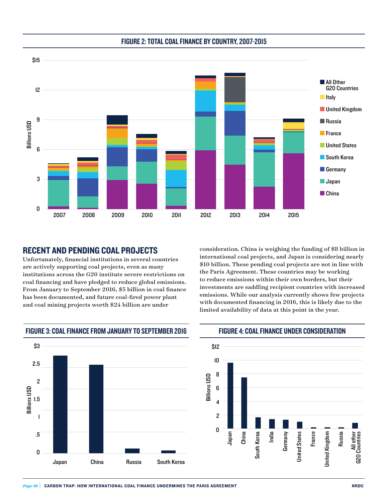

## FIGURE 2: TOTAL COAL FINANCE BY COUNTRY, 2007-2015 TOTAL COAL FINANCE BY COUNTRY, 2007–2015

#### RECENT AND PENDING COAL PROJECTS

Unfortunately, financial institutions in several countries are actively supporting coal projects, even as many institutions across the G20 institute severe restrictions on coal financing and have pledged to reduce global emissions. From January to September 2016, \$5 billion in coal finance has been documented, and future coal-fired power plant and coal mining projects worth \$24 billion are under

consideration. China is weighing the funding of \$8 billion in international coal projects, and Japan is considering nearly \$10 billion. These pending coal projects are not in line with the Paris Agreement. These countries may be working to reduce emissions within their own borders, but their investments are saddling recipient countries with increased emissions. While our analysis currently shows few projects with documented financing in 2016, this is likely due to the limited availability of data at this point in the year.



FIGURE 3: COAL FINANCE FROM JANUARY TO SEPTEMBER 2016 JANUARY TO SEPTEMBER 2016 <u>Coal Finance From The Base of the Base of the Base of the Base of the Base of the Base of the Base of the Base of the Base of the Base of the Base of the Base of the Base of the Base of the Base of the Base of the Base of</u>

FIGURE 4: COAL FINANCE UNDER CONSIDERATION COAL FINANCE UNDER CONSIDERATION

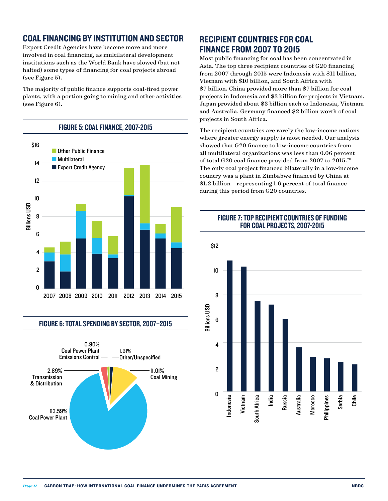## COAL FINANCING BY INSTITUTION AND SECTOR

Export Credit Agencies have become more and more involved in coal financing, as multilateral development institutions such as the World Bank have slowed (but not halted) some types of financing for coal projects abroad (see Figure 5).

The majority of public finance supports coal-fired power plants, with a portion going to mining and other activities (see Figure 6).



FIGURE 6: TOTAL SPENDING BY SECTOR, 2007-2015



## RECIPIENT COUNTRIES FOR COAL FINANCE FROM 2007 TO 2015

Most public financing for coal has been concentrated in Asia. The top three recipient countries of G20 financing from 2007 through 2015 were Indonesia with \$11 billion, Vietnam with \$10 billion, and South Africa with \$7 billion. China provided more than \$7 billion for coal projects in Indonesia and \$3 billion for projects in Vietnam. Japan provided about \$3 billion each to Indonesia, Vietnam and Australia. Germany financed \$2 billion worth of coal projects in South Africa.

The recipient countries are rarely the low-income nations where greater energy supply is most needed. Our analysis showed that G20 finance to low-income countries from all multilateral organizations was less than 0.06 percent of total G20 coal finance provided from 2007 to 2015.28 The only coal project financed bilaterally in a low-income country was a plant in Zimbabwe financed by China at \$1.2 billion—representing 1.6 percent of total finance during this period from G20 countries.



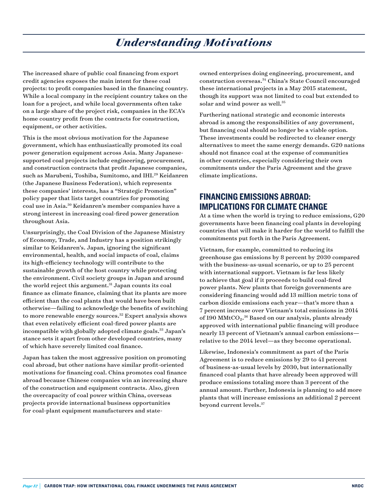# *Understanding Motivations*

The increased share of public coal financing from export credit agencies exposes the main intent for these coal projects: to profit companies based in the financing country. While a local company in the recipient country takes on the loan for a project, and while local governments often take on a large share of the project risk, companies in the ECA's home country profit from the contracts for construction, equipment, or other activities.

This is the most obvious motivation for the Japanese government, which has enthusiastically promoted its coal power generation equipment across Asia. Many Japanesesupported coal projects include engineering, procurement, and construction contracts that profit Japanese companies, such as Marubeni, Toshiba, Sumitomo, and IHI.<sup>29</sup> Keidanren (the Japanese Business Federation), which represents these companies' interests, has a "Strategic Promotion" policy paper that lists target countries for promoting coal use in Asia.30 Keidanren's member companies have a strong interest in increasing coal-fired power generation throughout Asia.

Unsurprisingly, the Coal Division of the Japanese Ministry of Economy, Trade, and Industry has a position strikingly similar to Keidanren's. Japan, ignoring the significant environmental, health, and social impacts of coal, claims its high-efficiency technology will contribute to the sustainable growth of the host country while protecting the environment. Civil society groups in Japan and around the world reject this argument.<sup>31</sup> Japan counts its coal finance as climate finance, claiming that its plants are more efficient than the coal plants that would have been built otherwise—failing to acknowledge the benefits of switching to more renewable energy sources.<sup>32</sup> Expert analysis shows that even relatively efficient coal-fired power plants are incompatible with globally adopted climate goals.<sup>33</sup> Japan's stance sets it apart from other developed countries, many of which have severely limited coal finance.

Japan has taken the most aggressive position on promoting coal abroad, but other nations have similar profit-oriented motivations for financing coal. China promotes coal finance abroad because Chinese companies win an increasing share of the construction and equipment contracts. Also, given the overcapacity of coal power within China, overseas projects provide international business opportunities for coal-plant equipment manufacturers and stateowned enterprises doing engineering, procurement, and construction overseas.34 China's State Council encouraged these international projects in a May 2015 statement, though its support was not limited to coal but extended to solar and wind power as well.<sup>35</sup>

Furthering national strategic and economic interests abroad is among the responsibilities of any government, but financing coal should no longer be a viable option. These investments could be redirected to cleaner energy alternatives to meet the same energy demands. G20 nations should not finance coal at the expense of communities in other countries, especially considering their own commitments under the Paris Agreement and the grave climate implications.

#### FINANCING EMISSIONS ABROAD: IMPLICATIONS FOR CLIMATE CHANGE

At a time when the world is trying to reduce emissions, G20 governments have been financing coal plants in developing countries that will make it harder for the world to fulfill the commitments put forth in the Paris Agreement.

Vietnam, for example, committed to reducing its greenhouse gas emissions by 8 percent by 2030 compared with the business-as-usual scenario, or up to 25 percent with international support. Vietnam is far less likely to achieve that goal if it proceeds to build coal-fired power plants. New plants that foreign governments are considering financing would add 13 million metric tons of carbon dioxide emissions each year—that's more than a 7 percent increase over Vietnam's total emissions in 2014 of 190 MMtCO₂.36 Based on our analysis, plants already approved with international public financing will produce nearly 13 percent of Vietnam's annual carbon emissions relative to the 2014 level—as they become operational.

Likewise, Indonesia's commitment as part of the Paris Agreement is to reduce emissions by 29 to 41 percent of business-as-usual levels by 2030, but internationally financed coal plants that have already been approved will produce emissions totaling more than 3 percent of the annual amount. Further, Indonesia is planning to add more plants that will increase emissions an additional 2 percent beyond current levels.37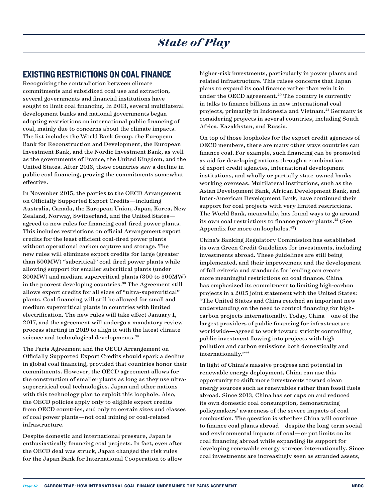#### EXISTING RESTRICTIONS ON COAL FINANCE

Recognizing the contradiction between climate commitments and subsidized coal use and extraction, several governments and financial institutions have sought to limit coal financing. In 2013, several multilateral development banks and national governments began adopting restrictions on international public financing of coal, mainly due to concerns about the climate impacts. The list includes the World Bank Group, the European Bank for Reconstruction and Development, the European Investment Bank, and the Nordic Investment Bank, as well as the governments of France, the United Kingdom, and the United States. After 2013, these countries saw a decline in public coal financing, proving the commitments somewhat effective.

In November 2015, the parties to the OECD Arrangement on Officially Supported Export Credits—including Australia, Canada, the European Union, Japan, Korea, New Zealand, Norway, Switzerland, and the United States agreed to new rules for financing coal-fired power plants. This includes restrictions on official Arrangement export credits for the least efficient coal-fired power plants without operational carbon capture and storage. The new rules will eliminate export credits for large (greater than 500MW) "subcritical" coal-fired power plants while allowing support for smaller subcritical plants (under 300MW) and medium supercritical plants (300 to 500MW) in the poorest developing countries.<sup>38</sup> The Agreement still allows export credits for all sizes of "ultra-supercritical" plants. Coal financing will still be allowed for small and medium supercritical plants in countries with limited electrification. The new rules will take effect January 1, 2017, and the agreement will undergo a mandatory review process starting in 2019 to align it with the latest climate science and technological developments.<sup>39</sup>

The Paris Agreement and the OECD Arrangement on Officially Supported Export Credits should spark a decline in global coal financing, provided that countries honor their commitments. However, the OECD agreement allows for the construction of smaller plants as long as they use ultrasupercritical coal technologies. Japan and other nations with this technology plan to exploit this loophole. Also, the OECD policies apply only to eligible export credits from OECD countries, and only to certain sizes and classes of coal power plants—not coal mining or coal-related infrastructure.

Despite domestic and international pressure, Japan is enthusiastically financing coal projects. In fact, even after the OECD deal was struck, Japan changed the risk rules for the Japan Bank for International Cooperation to allow

higher-risk investments, particularly in power plants and related infrastructure. This raises concerns that Japan plans to expand its coal finance rather than rein it in under the OECD agreement.<sup>40</sup> The country is currently in talks to finance billions in new international coal projects, primarily in Indonesia and Vietnam.41 Germany is considering projects in several countries, including South Africa, Kazakhstan, and Russia.

On top of those loopholes for the export credit agencies of OECD members, there are many other ways countries can finance coal. For example, such financing can be promoted as aid for developing nations through a combination of export credit agencies, international development institutions, and wholly or partially state-owned banks working overseas. Multilateral institutions, such as the Asian Development Bank, African Development Bank, and Inter-American Development Bank, have continued their support for coal projects with very limited restrictions. The World Bank, meanwhile, has found ways to go around its own coal restrictions to finance power plants.42 (See Appendix for more on loopholes.<sup>43</sup>)

China's Banking Regulatory Commission has established its own Green Credit Guidelines for investments, including investments abroad. These guidelines are still being implemented, and their improvement and the development of full criteria and standards for lending can create more meaningful restrictions on coal finance. China has emphasized its commitment to limiting high-carbon projects in a 2015 joint statement with the United States: "The United States and China reached an important new understanding on the need to control financing for highcarbon projects internationally. Today, China—one of the largest providers of public financing for infrastructure worldwide—agreed to work toward strictly controlling public investment flowing into projects with high pollution and carbon emissions both domestically and internationally."44

In light of China's massive progress and potential in renewable energy deployment, China can use this opportunity to shift more investments toward clean energy sources such as renewables rather than fossil fuels abroad. Since 2013, China has set caps on and reduced its own domestic coal consumption, demonstrating policymakers' awareness of the severe impacts of coal combustion. The question is whether China will continue to finance coal plants abroad—despite the long-term social and environmental impacts of coal—or put limits on its coal financing abroad while expanding its support for developing renewable energy sources internationally. Since coal investments are increasingly seen as stranded assets,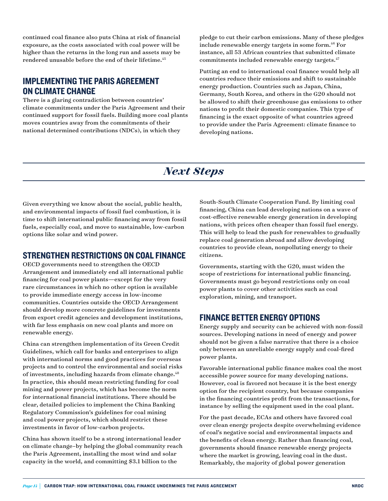continued coal finance also puts China at risk of financial exposure, as the costs associated with coal power will be higher than the returns in the long run and assets may be rendered unusable before the end of their lifetime.<sup>45</sup>

#### IMPLEMENTING THE PARIS AGREEMENT ON CLIMATE CHANGE

There is a glaring contradiction between countries' climate commitments under the Paris Agreement and their continued support for fossil fuels. Building more coal plants moves countries away from the commitments of their national determined contributions (NDCs), in which they

pledge to cut their carbon emissions. Many of these pledges include renewable energy targets in some form.<sup>46</sup> For instance, all 53 African countries that submitted climate commitments included renewable energy targets.<sup>47</sup>

Putting an end to international coal finance would help all countries reduce their emissions and shift to sustainable energy production. Countries such as Japan, China, Germany, South Korea, and others in the G20 should not be allowed to shift their greenhouse gas emissions to other nations to profit their domestic companies. This type of financing is the exact opposite of what countries agreed to provide under the Paris Agreement: climate finance to developing nations.

# *Next Steps*

Given everything we know about the social, public health, and environmental impacts of fossil fuel combustion, it is time to shift international public financing away from fossil fuels, especially coal, and move to sustainable, low-carbon options like solar and wind power.

#### STRENGTHEN RESTRICTIONS ON COAL FINANCE

OECD governments need to strengthen the OECD Arrangement and immediately end all international public financing for coal power plants—except for the very rare circumstances in which no other option is available to provide immediate energy access in low-income communities. Countries outside the OECD Arrangement should develop more concrete guidelines for investments from export credit agencies and development institutions, with far less emphasis on new coal plants and more on renewable energy.

China can strengthen implementation of its Green Credit Guidelines, which call for banks and enterprises to align with international norms and good practices for overseas projects and to control the environmental and social risks of investments, including hazards from climate change.<sup>48</sup> In practice, this should mean restricting funding for coal mining and power projects, which has become the norm for international financial institutions. There should be clear, detailed policies to implement the China Banking Regulatory Commission's guidelines for coal mining and coal power projects, which should restrict these investments in favor of low-carbon projects.

China has shown itself to be a strong international leader on climate change–by helping the global community reach the Paris Agreement, installing the most wind and solar capacity in the world, and committing \$3.1 billion to the

South-South Climate Cooperation Fund. By limiting coal financing, China can lead developing nations on a wave of cost-effective renewable energy generation in developing nations, with prices often cheaper than fossil fuel energy. This will help to lead the push for renewables to gradually replace coal generation abroad and allow developing countries to provide clean, nonpolluting energy to their citizens.

Governments, starting with the G20, must widen the scope of restrictions for international public financing. Governments must go beyond restrictions only on coal power plants to cover other activities such as coal exploration, mining, and transport.

#### FINANCE BETTER ENERGY OPTIONS

Energy supply and security can be achieved with non-fossil sources. Developing nations in need of energy and power should not be given a false narrative that there is a choice only between an unreliable energy supply and coal-fired power plants.

Favorable international public finance makes coal the most accessible power source for many developing nations. However, coal is favored not because it is the best energy option for the recipient country, but because companies in the financing countries profit from the transactions, for instance by selling the equipment used in the coal plant.

For the past decade, ECAs and others have favored coal over clean energy projects despite overwhelming evidence of coal's negative social and environmental impacts and the benefits of clean energy. Rather than financing coal, governments should finance renewable energy projects where the market is growing, leaving coal in the dust. Remarkably, the majority of global power generation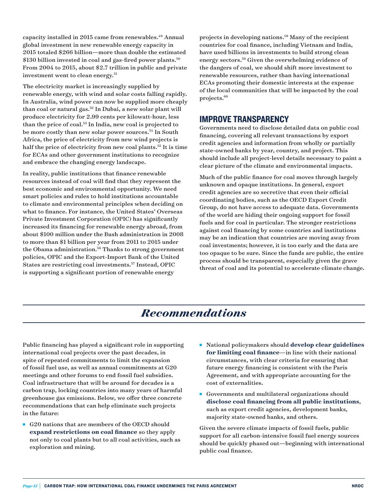capacity installed in 2015 came from renewables.<sup>49</sup> Annual global investment in new renewable energy capacity in 2015 totaled \$266 billion—more than double the estimated \$130 billion invested in coal and gas-fired power plants.<sup>50</sup> From 2004 to 2015, about \$2.7 trillion in public and private investment went to clean energy.<sup>51</sup>

The electricity market is increasingly supplied by renewable energy, with wind and solar costs falling rapidly. In Australia, wind power can now be supplied more cheaply than coal or natural gas.52 In Dubai, a new solar plant will produce electricity for 2.99 cents per kilowatt-hour, less than the price of coal.53 In India, new coal is projected to be more costly than new solar power sources.<sup>54</sup> In South Africa, the price of electricity from new wind projects is half the price of electricity from new coal plants.<sup>55</sup> It is time for ECAs and other government institutions to recognize and embrace the changing energy landscape.

In reality, public institutions that finance renewable resources instead of coal will find that they represent the best economic and environmental opportunity. We need smart policies and rules to hold institutions accountable to climate and environmental principles when deciding on what to finance. For instance, the United States' Overseas Private Investment Corporation (OPIC) has significantly increased its financing for renewable energy abroad, from about \$100 million under the Bush administration in 2008 to more than \$1 billion per year from 2011 to 2015 under the Obama administration.<sup>56</sup> Thanks to strong government policies, OPIC and the Export-Import Bank of the United States are restricting coal investments.57 Instead, OPIC is supporting a significant portion of renewable energy

projects in developing nations.58 Many of the recipient countries for coal finance, including Vietnam and India, have used billions in investments to build strong clean energy sectors.59 Given the overwhelming evidence of the dangers of coal, we should shift more investment to renewable resources, rather than having international ECAs promoting their domestic interests at the expense of the local communities that will be impacted by the coal projects.60

#### IMPROVE TRANSPARENCY

Governments need to disclose detailed data on public coal financing, covering all relevant transactions by export credit agencies and information from wholly or partially state-owned banks by year, country, and project. This should include all project-level details necessary to paint a clear picture of the climate and environmental impacts.

Much of the public finance for coal moves through largely unknown and opaque institutions. In general, export credit agencies are so secretive that even their official coordinating bodies, such as the OECD Export Credit Group, do not have access to adequate data. Governments of the world are hiding their ongoing support for fossil fuels and for coal in particular. The stronger restrictions against coal financing by some countries and institutions may be an indication that countries are moving away from coal investments; however, it is too early and the data are too opaque to be sure. Since the funds are public, the entire process should be transparent, especially given the grave threat of coal and its potential to accelerate climate change.

# *Recommendations*

Public financing has played a significant role in supporting international coal projects over the past decades, in spite of repeated commitments to limit the expansion of fossil fuel use, as well as annual commitments at G20 meetings and other forums to end fossil fuel subsidies. Coal infrastructure that will be around for decades is a carbon trap, locking countries into many years of harmful greenhouse gas emissions. Below, we offer three concrete recommendations that can help eliminate such projects in the future:

- G20 nations that are members of the OECD should **expand restrictions on coal finance** so they apply not only to coal plants but to all coal activities, such as exploration and mining.
- <sup>n</sup> National policymakers should **develop clear guidelines for limiting coal finance**—in line with their national circumstances, with clear criteria for ensuring that future energy financing is consistent with the Paris Agreement, and with appropriate accounting for the cost of externalities.
- Governments and multilateral organizations should **disclose coal financing from all public institutions**, such as export credit agencies, development banks, majority state-owned banks, and others.

Given the severe climate impacts of fossil fuels, public support for all carbon-intensive fossil fuel energy sources should be quickly phased out—beginning with international public coal finance.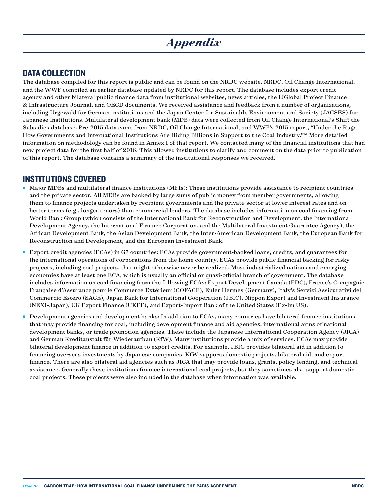# *Appendix*

#### DATA COLLECTION

The database compiled for this report is public and can be found on the NRDC website. NRDC, Oil Change International, and the WWF compiled an earlier database updated by NRDC for this report. The database includes export credit agency and other bilateral public finance data from institutional websites, news articles, the IJGlobal Project Finance & Infrastructure Journal, and OECD documents. We received assistance and feedback from a number of organizations, including Urgewald for German institutions and the Japan Center for Sustainable Environment and Society (JACSES) for Japanese institutions. Multilateral development bank (MDB) data were collected from Oil Change International's Shift the Subsidies database. Pre-2015 data came from NRDC, Oil Change International, and WWF's 2015 report, "Under the Rug: How Governments and International Institutions Are Hiding Billions in Support to the Coal Industry."61 More detailed information on methodology can be found in Annex I of that report. We contacted many of the financial institutions that had new project data for the first half of 2016. This allowed institutions to clarify and comment on the data prior to publication of this report. The database contains a summary of the institutional responses we received.

#### INSTITUTIONS COVERED

- <sup>n</sup> Major MDBs and multilateral finance institutions (MFIs): These institutions provide assistance to recipient countries and the private sector. All MDBs are backed by large sums of public money from member governments, allowing them to finance projects undertaken by recipient governments and the private sector at lower interest rates and on better terms (e.g., longer tenors) than commercial lenders. The database includes information on coal financing from: World Bank Group (which consists of the International Bank for Reconstruction and Development, the International Development Agency, the International Finance Corporation, and the Multilateral Investment Guarantee Agency), the African Development Bank, the Asian Development Bank, the Inter-American Development Bank, the European Bank for Reconstruction and Development, and the European Investment Bank.
- <sup>n</sup> Export credit agencies (ECAs) in G7 countries: ECAs provide government-backed loans, credits, and guarantees for the international operations of corporations from the home country. ECAs provide public financial backing for risky projects, including coal projects, that might otherwise never be realized. Most industrialized nations and emerging economies have at least one ECA, which is usually an official or quasi-official branch of government. The database includes information on coal financing from the following ECAs: Export Development Canada (EDC), France's Compagnie Française d'Assurance pour le Commerce Extérieur (COFACE), Euler Hermes (Germany), Italy's Servizi Assicurativi del Commercio Estero (SACE), Japan Bank for International Cooperation (JBIC), Nippon Export and Investment Insurance (NEXI-Japan), UK Export Finance (UKEF), and Export-Import Bank of the United States (Ex-Im US).
- <sup>n</sup> Development agencies and development banks: In addition to ECAs, many countries have bilateral finance institutions that may provide financing for coal, including development finance and aid agencies, international arms of national development banks, or trade promotion agencies. These include the Japanese International Cooperation Agency (JICA) and German Kreditanstalt für Wiederaufbau (KfW). Many institutions provide a mix of services. ECAs may provide bilateral development finance in addition to export credits. For example, JBIC provides bilateral aid in addition to financing overseas investments by Japanese companies. KfW supports domestic projects, bilateral aid, and export finance. There are also bilateral aid agencies such as JICA that may provide loans, grants, policy lending, and technical assistance. Generally these institutions finance international coal projects, but they sometimes also support domestic coal projects. These projects were also included in the database when information was available.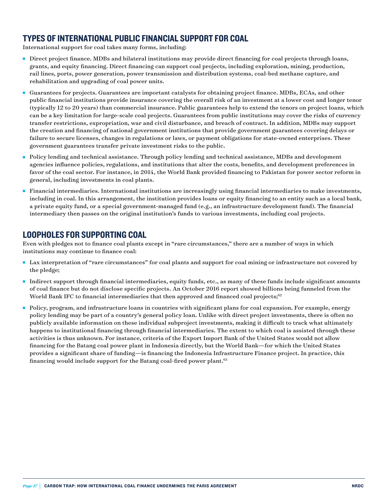## TYPES OF INTERNATIONAL PUBLIC FINANCIAL SUPPORT FOR COAL

International support for coal takes many forms, including:

- <sup>n</sup> Direct project finance. MDBs and bilateral institutions may provide direct financing for coal projects through loans, grants, and equity financing. Direct financing can support coal projects, including exploration, mining, production, rail lines, ports, power generation, power transmission and distribution systems, coal-bed methane capture, and rehabilitation and upgrading of coal power units.
- <sup>n</sup> Guarantees for projects. Guarantees are important catalysts for obtaining project finance. MDBs, ECAs, and other public financial institutions provide insurance covering the overall risk of an investment at a lower cost and longer tenor (typically 12 to 20 years) than commercial insurance. Public guarantees help to extend the tenors on project loans, which can be a key limitation for large-scale coal projects. Guarantees from public institutions may cover the risks of currency transfer restrictions, expropriation, war and civil disturbance, and breach of contract. In addition, MDBs may support the creation and financing of national government institutions that provide government guarantees covering delays or failure to secure licenses, changes in regulations or laws, or payment obligations for state-owned enterprises. These government guarantees transfer private investment risks to the public.
- n Policy lending and technical assistance. Through policy lending and technical assistance, MDBs and development agencies influence policies, regulations, and institutions that alter the costs, benefits, and development preferences in favor of the coal sector. For instance, in 2014, the World Bank provided financing to Pakistan for power sector reform in general, including investments in coal plants.
- <sup>n</sup> Financial intermediaries. International institutions are increasingly using financial intermediaries to make investments, including in coal. In this arrangement, the institution provides loans or equity financing to an entity such as a local bank, a private equity fund, or a special government-managed fund (e.g., an infrastructure development fund). The financial intermediary then passes on the original institution's funds to various investments, including coal projects.

#### LOOPHOLES FOR SUPPORTING COAL

Even with pledges not to finance coal plants except in "rare circumstances," there are a number of ways in which institutions may continue to finance coal:

- <sup>n</sup> Lax interpretation of "rare circumstances" for coal plants and support for coal mining or infrastructure not covered by the pledge;
- <sup>n</sup> Indirect support through financial intermediaries, equity funds, etc., as many of these funds include significant amounts of coal finance but do not disclose specific projects. An October 2016 report showed billions being funneled from the World Bank IFC to financial intermediaries that then approved and financed coal projects;<sup>62</sup>
- n Policy, program, and infrastructure loans in countries with significant plans for coal expansion. For example, energy policy lending may be part of a country's general policy loan. Unlike with direct project investments, there is often no publicly available information on these individual subproject investments, making it difficult to track what ultimately happens to institutional financing through financial intermediaries. The extent to which coal is assisted through these activities is thus unknown. For instance, criteria of the Export Import Bank of the United States would not allow financing for the Batang coal power plant in Indonesia directly, but the World Bank—for which the United States provides a significant share of funding—is financing the Indonesia Infrastructure Finance project. In practice, this financing would include support for the Batang coal-fired power plant.<sup>63</sup>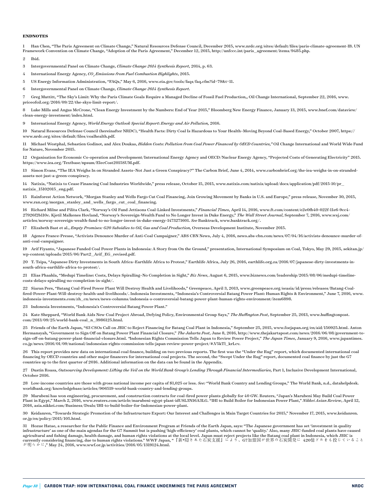#### **ENDNOTES**

1 Han Chen, "The Paris Agreement on Climate Change," Natural Resources Defense Council, December 2015, www.nrdc.org/sites/default/files/paris-climate-agreement-IB. UN Framework Convention on Climate Change, "Adoption of the Paris Agreement," December 12, 2015, http://unfccc.int/paris\_agreement/items/9485.php.

2 Ibid.

3 Intergovernmental Panel on Climate Change, *Climate Change 2014 Synthesis Report*, 2014, p. 63.

4 International Energy Agency,  ${CO}_{_2}E$ missions from Fuel Combustion Highlights, 2015.

5 US Energy Information Administration, "FAQs," May 6, 2016, www.eia.gov/tools/faqs/faq.cfm?id=79&t=11.

6 Intergovernmental Panel on Climate Change, *Climate Change 2014 Synthesis Report*.

7 Greg Muttitt, "The Sky's Limit: Why the Paris Climate Goals Require a Managed Decline of Fossil Fuel Production,, Oil Change International, September 22, 2016, www. priceofoil.org/2016/09/22/the-skys-limit-report/.

Luke Mills and Angus McCrone, "Clean Energy Investment by the Numbers: End of Year 2015," Bloomberg New Energy Finance, January 13, 2015, www.bnef.com/dataview/ clean-energy-investment/index.html.

9 International Energy Agency, *World Energy Outlook Special Report*: *Energy and Air Pollution,* 2016.

10 Natural Resources Defense Council (hereinafter NRDC), "Health Facts: Dirty Coal Is Hazardous to Your Health–Moving Beyond Coal-Based Energy," October 2007, https:// www.nrdc.org/sites/default/files/coalhealth.pdf.

11 Michael Westphal, Sebastien Godinot, and Alex Doukas, *Hidden Costs: Pollution from Coal Power Financed by OECD Countries,"* Oil Change International and World Wide Fund for Nature, November 2015.

12 Organisation for Economic Co-operation and Development/International Energy Agency and OECD/Nuclear Energy Agency, "Projected Costs of Generating Electricity" 2015. https://www.iea.org/Textbase/npsum/ElecCost2015SUM.pdf.

13 Simon Evans, "The IEA Weighs In on Stranded Assets–Not Just a Green Conspiracy?" The Carbon Brief, June 4, 2014, www.carbonbrief.org/the-iea-weighs-in-on-strandedassets-not-just-a-green-conspiracy.

14 Natixis, "Natixis to Cease Financing Coal Industries Worldwide," press release, October 15, 2015, www.natixis.com/natixis/upload/docs/application/pdf/2015-10/pr\_ natixis\_15102015\_eng.pdf.

15 Rainforest Action Network, "Morgan Stanley and Wells Fargo Cut Coal Financing, Join Growing Movement by Banks in U.S. and Europe," press release, November 30, 2015, www.ran.org/morgan\_stanley\_and\_wells\_fargo\_cut\_coal\_financing.

16 Richard Milne and Pilita Clark, "Norway's Oil Fund Jettisons Coal-Linked Investments," *Financial Times*, April 14, 2016, www.ft.com/content/e2e0fb40-022f-11e6-9cc4- 27926f2b110c. Kjetil Malkenes Hovland, "Norway's Sovereign-Wealth Fund to No Longer Invest in Duke Energy," *The Wall Street Journal*, September 7, 2016, www.wsj.com/ articles/norway-sovereign-wealth-fund-to-no-longer-invest-in-duke-energy-1473271601. *See* Banktrack, www.banktrack.org/.

17 Elizabeth Bast et al., *Empty Promises: G20 Subsidies to Oil, Gas and Coal Production,* Overseas Development Institute, November 2015.

18 Agence France-Presse, "Activists Denounce Murder of Anti-Coal Campaigner," ABS CBN News, July 4, 2016, news.abs-cbn.com/news/07/04/16/activists-denounce-murder-ofanti-coal-campaigner.

19 Arif Fiyanto, "Japanese Funded Coal Power Plants in Indonesia: A Story from On the Ground," presentation, International Symposium on Coal, Tokyo, May 29, 2015, sekitan.jp/ wp-content/uploads/2015/06/Part2\_Arif\_EG\_revised.pdf.

20 T. Tsipa, "Japanese Dirty Investments in South Africa–Earthlife Africa to Protest," Earthlife Africa, July 26, 2016, earthlife.org.za/2016/07/japanese-dirty-investments-insouth-africa-earthlife-africa-to-protest/.

21 Elias Phaahla, "Medupi Timeline: Costs, Delays Spiralling–No Completion in Sight," *Biz News*, August 6, 2015, www.biznews.com/leadership/2015/08/06/medupi-timelinecosts-delays-spiralling-no-completion-in-sight/.

22 Siaran Pers, "Batang Coal-Fired Power Plant Will Destroy Health and Livelihoods," Greenpeace, April 3, 2013, www.greenpeace.org/seasia/id/press/releases/Batang-Coalfired-Power-Plant-Will-destroy-health-and-livelihoods/. Indonesia Investments, "Indonesia's Controversial Batang Power Plant: Human Rights & Environment," June 7, 2016, www. indonesia-investments.com/zh\_cn/news/news-columns/indonesia-s-controversial-batang-power-plant-human-rights-environment/item6898.

23 Indonesia Investments, "Indonesia's Controversial Batang Power Plant."

24 Kate Sheppard, "World Bank Aids New Coal Project Abroad, Defying Policy, Environmental Group Says," *The Huffington Post*, September 25, 2013, www.huffingtonpost. com/2013/09/25/world-bank-coal\_n\_3986125.html.

25 Friends of the Earth Japan, "63 CSOs Call on JBIC to Reject Financing for Batang Coal Plant in Indonesia," September 25, 2015, www.foejapan.org/en/aid/150925.html. Anton Hermansyah, "Government to Sign Off on Batang Power Plant Financial Closure," *The Jakarta Post*, June 8, 2016, http://www.thejakartapost.com/news/2016/06/08/government-tosign-off-on-batang-power-plant-financial-closure.html. *"*Indonesian Rights Commission Tells Japan to Review Power Project," *The Japan Times*, January 9, 2016, www.japantimes. co.jp/news/2016/01/09/national/indonesian-rights-commission-tells-japan-review-power-project/#.V5kTl\_krLcv.

26 This report provides new data on international coal finance, building on two previous reports. The first was the "Under the Rug" report, which documented international coal financing by OECD countries and other major financers for international coal projects. The second, the "Swept Under the Rug" report, documented coal finance by just the G7 countries up to the first quarter of 2016. Additional information on the data can be found in the Appendix.

27 Dustin Roasa, *Outsourcing Development: Lifting the Veil on the World Bank Group's Lending Through Financial Intermediaries,* Part 1, Inclusive Development International, October 2016.

28 Low-income countries are those with gross national income per capita of \$1,025 or less. *See:* "World Bank Country and Lending Groups," The World Bank, n.d., datahelpdesk. worldbank.org/knowledgebase/articles/906519-world-bank-country-and-lending-groups.

29 Marubeni has won engineering, procurement, and construction contracts for coal-fired power plants globally for 40 GW. Reuters, "Japan's Marubeni May Build Coal Power Plant in Egypt," March 2, 2016, www.reuters.com/article/marubeni-egypt-plant-idUSL3N16A3LG. "IHI to Build Boiler for Indonesian Power Plant," *Nikkei Asian Review*, April 12, 2016, asia.nikkei.com/Business/Deals/IHI-to-build-boiler-for-Indonesian-power-plant.

30 Keidanren, "Towards Strategic Promotion of the Infrastructure Export: Our Interest and Challenges in Main Target Countries for 2015," November 17, 2015, www.keidanren. or.jp/en/policy/2015/105.html.

31 Hozue Hatae, a researcher for the Public Finance and Environment Program at Friends of the Earth Japan, says: "The Japanese government has set 'investment in quality infrastructure' as one of the main agendas for the G7 Summit but is pushing 'high-efficiency' coal plants, which cannot be 'quality.' Also, many JBIC-funded coal plants have caused agricultural and fishing damage, health damage, and human rights violations at the local level. Japan must reject projects like the Batang coal plant in Indonesia, which JBIC is<br>currently considering financing, due to hu が明らかに," May 24, 2016, www.wwf.or.jp/activities/2016/05/1319124.html.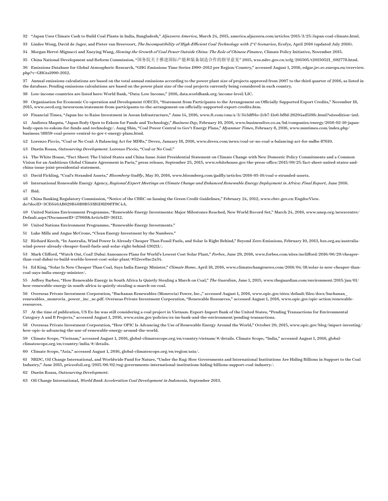"Japan Uses Climate Cash to Build Coal Plants in India, Bangladesh," *Aljazeera America*, March 24, 2015, america.aljazeera.com/articles/2015/3/25/Japan-coal-climate.html.

Lindee Wong, David de Jager, and Pieter van Breevoort, *The Incompatibility of High-Efficient Coal Technology with 2°C Scenarios*, Ecofys, April 2016 (updated July 2016).

Morgan Hervé-Mignucci and Xueying Wang, *Slowing the Growth of Coal Power Outside China: The Role of Chinese Finance*, Climate Policy Initiative, November 2015.

China National Development and Reform Commission, "国务院关于推进国际产能和装备制造合作的指导意见" 2015, wzs.ndrc.gov.cn/zcfg/201505/t20150521\_692778.html.

 Emissions Database for Global Atmospheric Research, "GHG Emissions Time Series 1990–2012 per Region/Country," accessed August 1, 2016, edgar.jrc.ec.europa.eu/overview. php?v=GHGts1990-2012.

 Annual emissions calculations are based on the total annual emissions according to the power plant size of projects approved from 2007 to the third quarter of 2016, as listed in the database. Pending emissions calculations are based on the power plant size of the coal projects currently being considered in each country.

Low-income countries are listed here: World Bank, "Data: Low Income," 2016, data.worldbank.org/income-level/LIC.

 Organisation for Economic Co-operation and Development (OECD), "Statement from Participants to the Arrangement on Officially Supported Export Credits," November 18, 2015, www.oecd.org/newsroom/statement-from-participants-to-the-arrangement-on-officially-supported-export-credits.htm.

Financial Times, "Japan Inc to Raise Investment in Asean Infrastructure," June 14, 2016, [www.ft.com/cms/s/3/343df91e-2cb7-11e6-bf8d-26294ad519fc.html?siteedition=intl](http://www.ft.com/cms/s/3/343df91e-2cb7-11e6-bf8d-26294ad519fc.html?siteedition=intl).

 Andiswa Maqutu, "Japan Body Open to Eskom for Funds and Technology," *Business Day,* February 10, 2016, www.businesslive.co.za/bd/companies/energy/2016-02-10-japanbody-open-to-eskom-for-funds-and-technology/. Aung Shin, "Coal Power Central to Gov't Energy Plans," *Myanmar Times*, February 8, 2016, www.mmtimes.com/index.php/ business/18859-coal-power-central-to-gov-t-energy-plans.html.

Lorenzo Piccio, "Coal or No Coal: A Balancing Act for MDBs," Devex, January 18, 2016, www.devex.com/news/coal-or-no-coal-a-balancing-act-for-mdbs-87610.

Dustin Roasa, *Outsourcing Development.* Lorenzo Piccio, "Coal or No Coal."

 The White House, "Fact Sheet: The United States and China Issue Joint Presidential Statement on Climate Change with New Domestic Policy Commitments and a Common Vision for an Ambitious Global Climate Agreement in Paris," press release, September 25, 2015, www.whitehouse.gov/the-press-office/2015/09/25/fact-sheet-united-states-andchina-issue-joint-presidential-statement.

David Fickling, "Coal's Stranded Assets," *Bloomberg Gadfly*, May 10, 2016, www.bloomberg.com/gadfly/articles/2016-05-10/coal-s-stranded-assets.

International Renewable Energy Agency, *Regional Expert Meetings on Climate Change and Enhanced Renewable Energy Deployment in Africa: Final Report*, June 2016.

Ibid.

 China Banking Regulatory Commission, "Notice of the CBRC on Issuing the Green Credit Guidelines," February 24, 2012, www.cbrc.gov.cn/EngdocView. do?docID=3CE646AB629B46B9B533B1D8D9FF8C4A.

 United Nations Environment Programme, "Renewable Energy Investments: Major Milestones Reached, New World Record Set," March 24, 2016, www.unep.org/newscentre/ Default.aspx?DocumentID=27068&ArticleID=36112.

United Nations Environment Programme, "Renewable Energy Investments."

Luke Mills and Angus McCrone, "Clean Energy Investment by the Numbers."

 Richard Keech, "In Australia, Wind Power Is Already Cheaper Than Fossil Fuels, and Solar Is Right Behind," Beyond Zero Emissions, February 10, 2013, bze.org.au/australiawind-power-already-cheaper-fossil-fuels-and-solar-right-behind-130211/.

 Mark Clifford, "Watch Out, Coal! Dubai Announces Plans for World's Lowest Cost Solar Plant," *Forbes*, June 29, 2016, www.forbes.com/sites/mclifford/2016/06/29/cheaperthan-coal-dubai-to-build-worlds-lowest-cost-solar-plant/#52ece8ac2a34.

 Ed King, "Solar Is Now Cheaper Than Coal, Says India Energy Minister," *Climate Home*, April 18, 2016, www.climatechangenews.com/2016/04/18/solar-is-now-cheaper-thancoal-says-india-energy-minister/.

 Jeffrey Barbee, "How Renewable Energy in South Africa Is Quietly Stealing a March on Coal," *The Guardian*, June 1, 2015, www.theguardian.com/environment/2015/jun/01/ how-renewable-energy-in-south-africa-is-quietly-stealing-a-march-on-coal.

 Overseas Private Investment Corporation, "Buchanan Renewables (Monrovia) Power, Inc.," accessed August 1, 2016, [www.opic.gov/sites/default/files/docs/buchanan\\_](http://www.opic.gov/sites/default/files/docs/buchanan_renewables_monrovia_power_inc_nc.pdf) [renewables\\_monrovia\\_power\\_inc\\_nc.pdf](http://www.opic.gov/sites/default/files/docs/buchanan_renewables_monrovia_power_inc_nc.pdf). Overseas Private Investment Corporation, "Renewable Resources," accessed August 1, 2016, www.opic.gov/opic-action/renewableresources.

 At the time of publication, US Ex-Im was still considering a coal project in Vietnam. Export-Import Bank of the United States, "Pending Transactions for Environmental Category A and B Projects," accessed August 1, 2016, www.exim.gov/policies/ex-im-bank-and-the-environment/pending-transactions.

 Overseas Private Investment Corporation, "How OPIC Is Advancing the Use of Renewable Energy Around the World," October 20, 2015, www.opic.gov/blog/impact-investing/ how-opic-is-advancing-the-use-of-renewable-energy-around-the-world.

 Climate Scope, "Vietnam," accessed August 1, 2016, global-climatescope.org/en/country/vietnam/#/details. Climate Scope, "India," accessed August 1, 2016, globalclimatescope.org/en/country/india/#/details.

Climate Scope, "Asia," accessed August 1, 2016, global-climatescope.org/en/region/asia/.

 NRDC, Oil Change International, and Worldwide Fund for Nature, "Under the Rug: How Governments and International Institutions Are Hiding Billions in Support to the Coal Industry," June 2015, priceofoil.org/2015/06/02/rug-governments-international-institutions-hiding-billions-support-coal-industry/.

Dustin Roasa, *Outsourcing Development*.

Oil Change International, *World Bank Acceleration Coal Development in Indonesia*, September 2013.